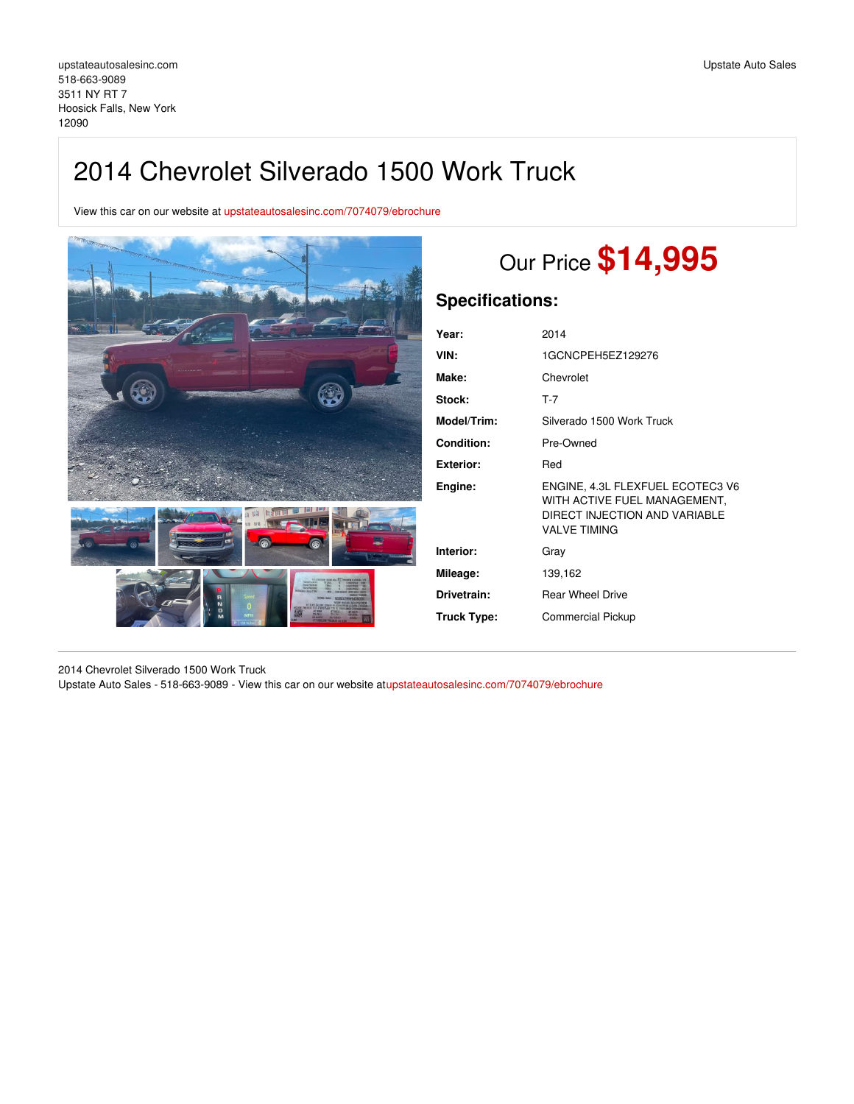## 2014 Chevrolet Silverado 1500 Work Truck

View this car on our website at [upstateautosalesinc.com/7074079/ebrochure](https://upstateautosalesinc.com/vehicle/7074079/2014-chevrolet-silverado-1500-work-truck-hoosick-falls-new-york-12090/7074079/ebrochure)



# Our Price **\$14,995**

### **Specifications:**

| Year:             | 2014                                                                                                                     |
|-------------------|--------------------------------------------------------------------------------------------------------------------------|
| VIN:              | 1GCNCPEH5EZ129276                                                                                                        |
| Make:             | Chevrolet                                                                                                                |
| Stock:            | $T-7$                                                                                                                    |
| Model/Trim:       | Silverado 1500 Work Truck                                                                                                |
| <b>Condition:</b> | Pre-Owned                                                                                                                |
| Exterior:         | Red                                                                                                                      |
| Engine:           | ENGINE, 4.3L FLEXFUEL ECOTEC3 V6<br>WITH ACTIVE FUEL MANAGEMENT,<br>DIRECT INJECTION AND VARIABLE<br><b>VALVE TIMING</b> |
| Interior:         | Grav                                                                                                                     |
| Mileage:          | 139,162                                                                                                                  |
| Drivetrain:       | <b>Rear Wheel Drive</b>                                                                                                  |
| Truck Type:       | <b>Commercial Pickup</b>                                                                                                 |
|                   |                                                                                                                          |

2014 Chevrolet Silverado 1500 Work Truck

Upstate Auto Sales - 518-663-9089 - View this car on our website a[tupstateautosalesinc.com/7074079/ebrochure](https://upstateautosalesinc.com/vehicle/7074079/2014-chevrolet-silverado-1500-work-truck-hoosick-falls-new-york-12090/7074079/ebrochure)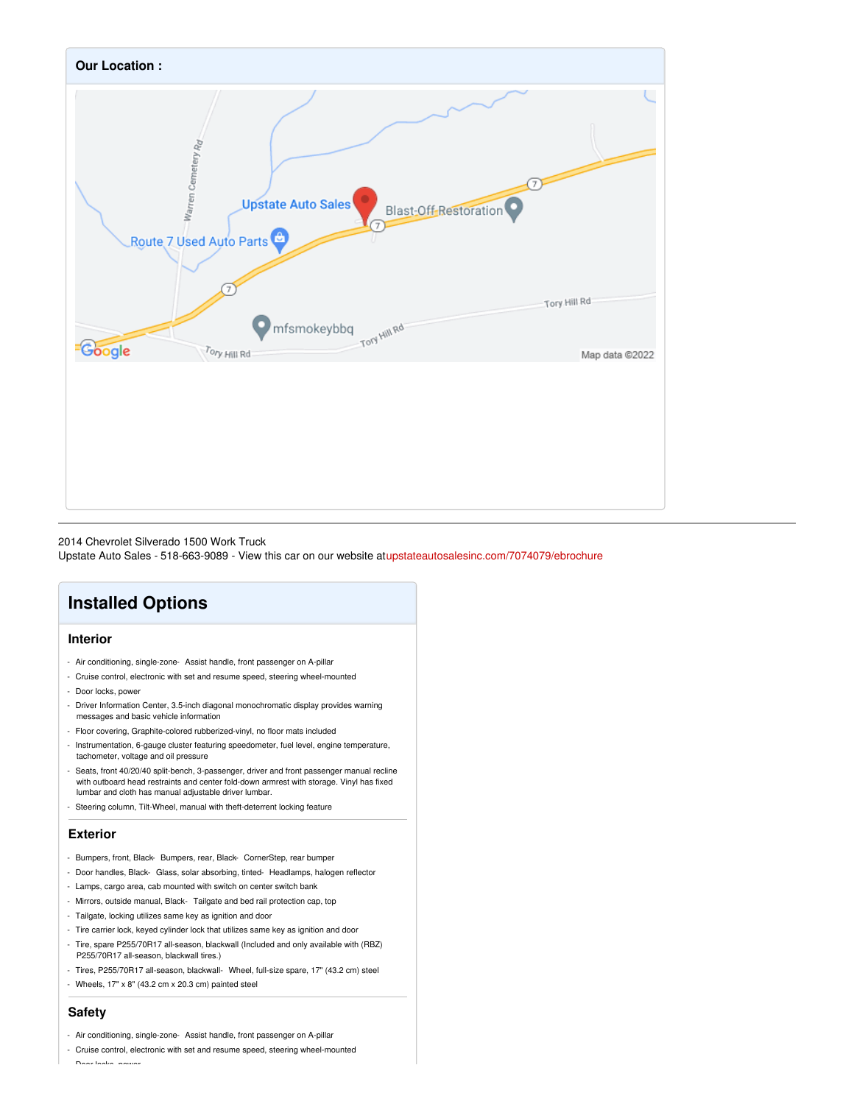

#### 2014 Chevrolet Silverado 1500 Work Truck

Upstate Auto Sales - 518-663-9089 - View this car on our website a[tupstateautosalesinc.com/7074079/ebrochure](https://upstateautosalesinc.com/vehicle/7074079/2014-chevrolet-silverado-1500-work-truck-hoosick-falls-new-york-12090/7074079/ebrochure)

## **Installed Options**

#### **Interior**

- Air conditioning, single-zone- Assist handle, front passenger on A-pillar
- Cruise control, electronic with set and resume speed, steering wheel-mounted
- Door locks, power
- Driver Information Center, 3.5-inch diagonal monochromatic display provides warning messages and basic vehicle information
- Floor covering, Graphite-colored rubberized-vinyl, no floor mats included
- Instrumentation, 6-gauge cluster featuring speedometer, fuel level, engine temperature, tachometer, voltage and oil pressure
- Seats, front 40/20/40 split-bench, 3-passenger, driver and front passenger manual recline with outboard head restraints and center fold-down armrest with storage. Vinyl has fixed lumbar and cloth has manual adjustable driver lumbar.
- Steering column, Tilt-Wheel, manual with theft-deterrent locking feature

#### **Exterior**

- Bumpers, front, Black- Bumpers, rear, Black- CornerStep, rear bumper
- Door handles, Black- Glass, solar absorbing, tinted- Headlamps, halogen reflector
- Lamps, cargo area, cab mounted with switch on center switch bank
- Mirrors, outside manual, Black- Tailgate and bed rail protection cap, top
- Tailgate, locking utilizes same key as ignition and door
- Tire carrier lock, keyed cylinder lock that utilizes same key as ignition and door
- Tire, spare P255/70R17 all-season, blackwall (Included and only available with (RBZ) P255/70R17 all-season, blackwall tires.)
- Tires, P255/70R17 all-season, blackwall- Wheel, full-size spare, 17" (43.2 cm) steel
- Wheels, 17" x 8" (43.2 cm x 20.3 cm) painted steel

#### **Safety**

- Air conditioning, single-zone- Assist handle, front passenger on A-pillar
- Cruise control, electronic with set and resume speed, steering wheel-mounted - Door locks, power